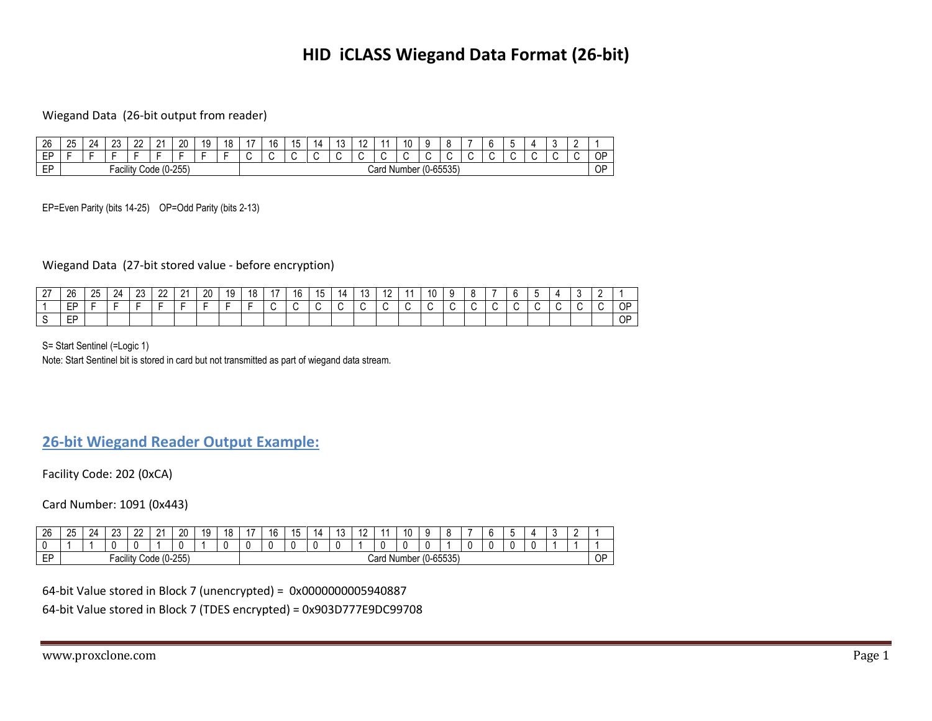# **HID iCLASS Wiegand Data Format (26-bit)**

### Wiegand Data (26-bit output from reader)

| 26              | 25                       | 24 | $\sim$<br>ںے | $\sim$<br>-- | $^{\circ}$<br><u>_</u>                        | 20<br>$\sim$ | 19 | ◠                        | 16 | ıд | $\overline{ }$<br>. . |               | 10        | ∼<br>u |                        |  | ∽<br> | $\epsilon$ |  |             |
|-----------------|--------------------------|----|--------------|--------------|-----------------------------------------------|--------------|----|--------------------------|----|----|-----------------------|---------------|-----------|--------|------------------------|--|-------|------------|--|-------------|
| FР<br>--        | $\overline{\phantom{0}}$ | -  |              |              |                                               |              |    | $\overline{\phantom{0}}$ | -  | ∽  |                       |               |           |        |                        |  |       |            |  | $\cap$<br>v |
| <b>CD</b><br>-- |                          |    | <br>-acılıtv |              | $\overline{\phantom{a}}$<br>Code <sup>r</sup> | $0 - 255$    |    |                          |    |    |                       | . .<br>Card ' | Number (( |        | ., เป-6553F`<br>וטטטטי |  |       |            |  | OP          |

EP=Even Parity (bits 14-25) OP=Odd Parity (bits 2-13)

Wiegand Data (27-bit stored value - before encryption)

| $\sim$<br><u>.</u> | 26             | 25 | 24 | $\sim$<br>∠∪ | nn.<br>" | $\Omega$<br>$\epsilon$ | 20 | 19 | 18 | 16 | ำ | lΔ | ັ | . . | 10 | $\ddot{\phantom{1}}$ |  |  |  |    |
|--------------------|----------------|----|----|--------------|----------|------------------------|----|----|----|----|---|----|---|-----|----|----------------------|--|--|--|----|
|                    | FD<br>-        |    | -  |              |          |                        |    |    |    |    |   |    |   |     |    |                      |  |  |  | ОF |
|                    | <b>ED</b><br>- |    |    |              |          |                        |    |    |    |    |   |    |   |     |    |                      |  |  |  | OF |

S= Start Sentinel (=Logic 1)

Note: Start Sentinel bit is stored in card but not transmitted as part of wiegand data stream.

# **26-bit Wiegand Reader Output Example:**

Facility Code: 202 (0xCA)

Card Number: 1091 (0x443)

| 26       | 25 | 24 | $\sim$<br>Δu | $\sim$<br>-- | $\sim$<br><u>_</u> | 20 | $\overline{A}$<br>IJ | $\sim$<br>o<br>ັ | $\rightarrow$ | <br>Ίr | . .<br> | $\prime$ |  |             | $\ddot{\phantom{0}}$<br>ъ. |                        |                        |  | $\prime$ |  |              |
|----------|----|----|--------------|--------------|--------------------|----|----------------------|------------------|---------------|--------|---------|----------|--|-------------|----------------------------|------------------------|------------------------|--|----------|--|--------------|
|          |    |    |              |              |                    |    |                      |                  |               |        |         |          |  |             |                            |                        |                        |  |          |  |              |
| r r<br>- |    |    | <br>Facility |              | Code (0-255)       |    |                      |                  |               |        |         |          |  | Card Number |                            | $\sqrt{2}$<br>ぶんん<br>w | <b>GEEDE</b><br>וטטטטי |  |          |  | $\cap$<br>יש |

64-bit Value stored in Block 7 (unencrypted) = 0x0000000005940887

64-bit Value stored in Block 7 (TDES encrypted) = 0x903D777E9DC99708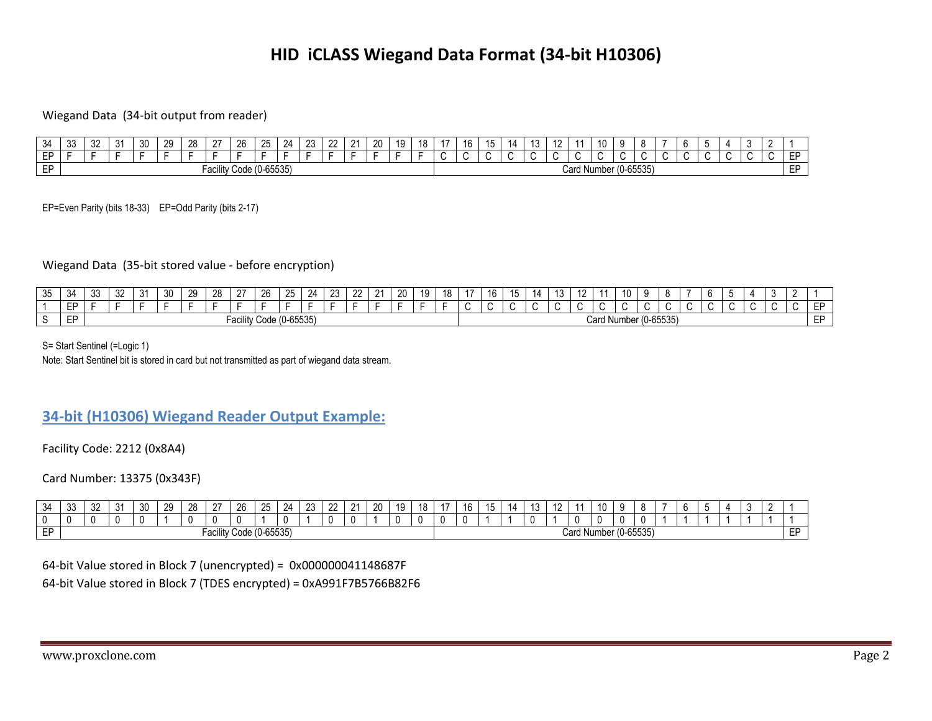# **HID iCLASS Wiegand Data Format (34-bit H10306)**

### Wiegand Data (34-bit output from reader)

| $\rightarrow$  | ാ<br>აა | $\sim$<br>ےں | $\sim$<br>ັບ | $\sim$<br>≺∟ | ንዐ | 28 | $\sim$ | 26                      | <b>OE</b> | 24 | າາ<br>∠∪ | $\sim$ | 20 | 10. | 18 | $\rightarrow$ | $\overline{\phantom{0}}$<br>יי<br>∪י | 14. | $\overline{a}$<br>ں ا | <br>$\sim$ | 10                      | n                       |     |         |  |     |           |
|----------------|---------|--------------|--------------|--------------|----|----|--------|-------------------------|-----------|----|----------|--------|----|-----|----|---------------|--------------------------------------|-----|-----------------------|------------|-------------------------|-------------------------|-----|---------|--|-----|-----------|
| CD<br>$-1$     |         |              |              |              |    |    |        |                         |           |    |          |        |    |     |    |               |                                      |     |                       |            |                         |                         | . . | $\cdot$ |  | . . | <b>FR</b> |
| <b>CD</b><br>- |         |              |              |              |    |    |        | Facility Code (0-65535) |           |    |          |        |    |     |    |               |                                      |     |                       |            | Card Number $(U-65535)$ | $\bullet - - \bullet -$ |     |         |  |     | <b>ED</b> |

EP=Even Parity (bits 18-33) EP=Odd Parity (bits 2-17)

## Wiegand Data (35-bit stored value - before encryption)

| 25<br>◡◡ | J- | $\sim$<br>ັບ | $\sim$<br>ັບ | $\sim$<br>ັບ | 30 | 29 | $\sim$<br>,, | ∩-              | $\sim$<br>↗ | റ⊏<br>$\sim$  | $2\pi$ | $\sim$ | $\sim$<br>- | ററ | 10 | 18 | $\overline{1}$ | $\overline{ }$<br>16 | 14 | $\sim$ | $\sqrt{2}$ | - - -       |  |               |  |  |  |    |
|----------|----|--------------|--------------|--------------|----|----|--------------|-----------------|-------------|---------------|--------|--------|-------------|----|----|----|----------------|----------------------|----|--------|------------|-------------|--|---------------|--|--|--|----|
|          | -- |              |              |              |    |    |              |                 |             |               |        |        |             |    |    |    |                |                      |    |        |            |             |  |               |  |  |  | гг |
|          | -- |              |              |              |    |    |              | ہ م ب<br>aulllu | ' Code (C   | $(0 - 65535)$ |        |        |             |    |    |    |                |                      |    |        |            | Card Number |  | $(0 - 65535)$ |  |  |  | ᇊ  |

S= Start Sentinel (=Logic 1)

Note: Start Sentinel bit is stored in card but not transmitted as part of wiegand data stream.

## **34-bit (H10306) Wiegand Reader Output Example:**

Facility Code: 2212 (0x8A4)

Card Number: 13375 (0x343F)

| $\sim$<br>$\lambda$<br>υΉ | $\sim$<br>ഄഄ | л.<br>ັ | 20<br>vu | $20^{\circ}$<br>້ີ້ | 28<br>∼ | $\sim$                       | 26             | $\sim$<br>-                      | 24 | $\sim$<br>້ | $\mathbf{r}$<br>-- | $\mathbf{a}$<br><u>_</u> | 20 | 10 | 40<br>10 | 10 | 171 | 1 U | $\overline{A}$<br>14 | 10                      | . . |       |  |  |  |    |
|---------------------------|--------------|---------|----------|---------------------|---------|------------------------------|----------------|----------------------------------|----|-------------|--------------------|--------------------------|----|----|----------|----|-----|-----|----------------------|-------------------------|-----|-------|--|--|--|----|
|                           |              |         |          |                     |         |                              |                |                                  |    |             |                    |                          |    |    |          |    |     |     |                      | $\theta$                |     |       |  |  |  |    |
| <b>ED</b><br>. .          |              |         |          |                     |         | '''<br>- - -<br>au<br>11 L V | Code (0-65535) | CFTC<br>$\overline{\phantom{a}}$ |    |             |                    |                          |    |    |          |    |     |     |                      | Card Number $(0-65535)$ |     | CFTCF |  |  |  | -- |

#### 64-bit Value stored in Block 7 (unencrypted) = 0x000000041148687F

64-bit Value stored in Block 7 (TDES encrypted) = 0xA991F7B5766B82F6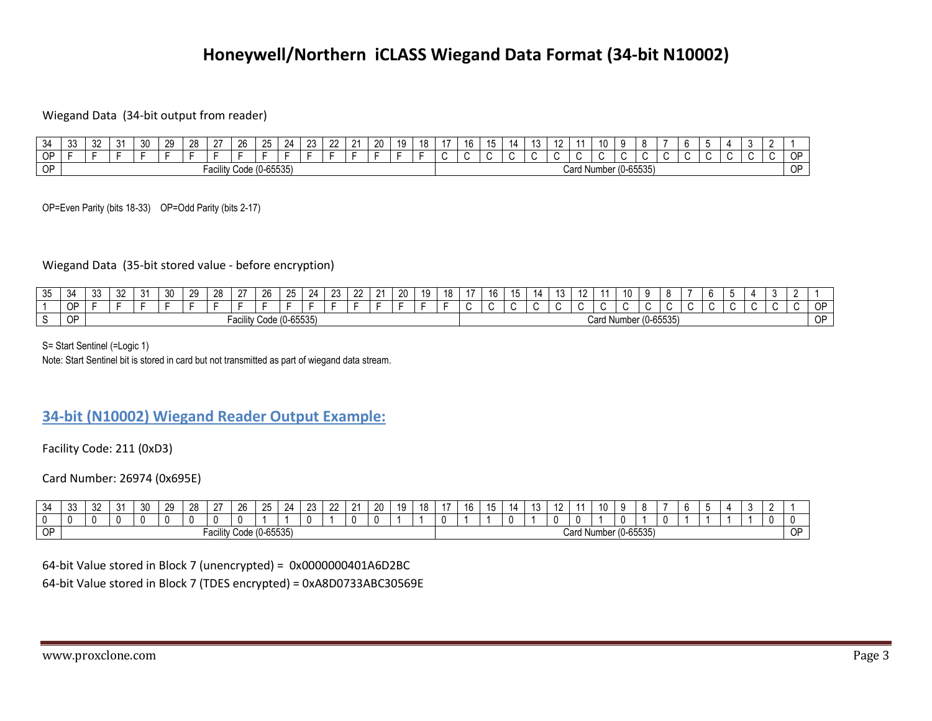# **Honeywell/Northern iCLASS Wiegand Data Format (34-bit N10002)**

#### Wiegand Data (34-bit output from reader)

| $\rightarrow$ | $\sim$<br>ັບປ | ົ<br>ັ | 30 | າດ<br>∼ | 28 | $\sim$ | $\sim$<br>20  | つら                     | $\sim$<br>- 14 | റാ<br>∠⊾ | $\sim$<br>--- | 20 | 19 | 10 | $\sqrt{2}$<br>16 | שו | $\overline{10}$<br>ں ا | . . |                    | 10 |           |                         |  |         |  |    |
|---------------|---------------|--------|----|---------|----|--------|---------------|------------------------|----------------|----------|---------------|----|----|----|------------------|----|------------------------|-----|--------------------|----|-----------|-------------------------|--|---------|--|----|
| <b>OP</b>     |               |        |    |         |    |        |               |                        |                |          |               |    |    |    |                  |    |                        |     |                    |    |           |                         |  | $\cdot$ |  | ∩⊏ |
| OP            |               |        |    |         |    |        | Facility Code | $\bigcap$<br>(U-65535) |                |          |               |    |    |    |                  |    |                        |     | <b>Card Number</b> |    | 1U-65535. | $\bullet - - \bullet -$ |  |         |  | OP |

OP=Even Parity (bits 18-33) OP=Odd Parity (bits 2-17)

#### Wiegand Data (35-bit stored value - before encryption)

| へい<br>ບບ | -34       | י ה<br>ັ | $\mathbf{C}$<br>J | 30 | ാവ<br>∼ | 28<br>- | $\sim$<br>$\epsilon$ | 26<br>∼          | $\sim$               | $^{\circ}$<br><u>, п</u> | ົດລ<br>້ | $\sim$<br><u>__</u> | $\Omega$ | 20<br>້ | $\sqrt{2}$<br>ı u<br>՝ | 18 | $\rightarrow$ | $\overline{\phantom{a}}$ | $\cdots$ | . | $\overline{ }$ |      | 10       |            | n                           |  |  |  |               |
|----------|-----------|----------|-------------------|----|---------|---------|----------------------|------------------|----------------------|--------------------------|----------|---------------------|----------|---------|------------------------|----|---------------|--------------------------|----------|---|----------------|------|----------|------------|-----------------------------|--|--|--|---------------|
|          | OP        |          |                   |    |         |         |                      |                  |                      |                          |          |                     |          |         |                        |    |               |                          |          |   |                |      |          |            |                             |  |  |  | $\cap$<br>. . |
|          | <b>OP</b> |          |                   |    |         |         | -acılıtv             | / Code (0-65535) | $\sim$ $\sim$ $\sim$ |                          |          |                     |          |         |                        |    |               |                          |          |   |                | Card | . Number | · (0-65535 | $\sim$ $\sim$ $\sim$ $\sim$ |  |  |  | $\cap$<br>◡   |

S= Start Sentinel (=Logic 1)

Note: Start Sentinel bit is stored in card but not transmitted as part of wiegand data stream.

## **34-bit (N10002) Wiegand Reader Output Example:**

Facility Code: 211 (0xD3)

Card Number: 26974 (0x695E)

| 34       | $\sim$<br>ັບເ<br>- - | າາ<br>ےں | $\sim$<br>. | 30 | ാറ<br>_. | $\sim$<br>70 | $\sim$<br>∠ | $\sim$<br>Zb.  | ົດຂ<br>. | 24 | $\sim$<br>້ | $\sim$ | $\sim$ | $\sim$<br>- | $\overline{10}$ | 18 | . . | $\overline{10}$<br>ΙO | $\overline{ }$<br>ำ ค<br>∣∪ | 14. | $\overline{10}$<br> | $\overline{ }$<br>1 Z |                | $\overline{10}$<br>. |                                                                                      |  |  |  |    |
|----------|----------------------|----------|-------------|----|----------|--------------|-------------|----------------|----------|----|-------------|--------|--------|-------------|-----------------|----|-----|-----------------------|-----------------------------|-----|---------------------|-----------------------|----------------|----------------------|--------------------------------------------------------------------------------------|--|--|--|----|
|          |                      |          |             |    |          |              |             |                |          |    |             |        | -11    |             |                 |    |     |                       |                             |     |                     |                       |                |                      |                                                                                      |  |  |  |    |
| ∩⊳<br>יש |                      |          |             |    |          |              | . acılıtv ′ | Code (0-65535) | CFTOEN   |    |             |        |        |             |                 |    |     |                       |                             |     |                     |                       | $\sim$<br>valu | Number (0-655        | $\bullet - - \bullet - \bullet$<br>$\left\langle \mathbf{r} \right\rangle$<br>-ບບບບບ |  |  |  | 0P |

#### 64-bit Value stored in Block 7 (unencrypted) = 0x0000000401A6D2BC

64-bit Value stored in Block 7 (TDES encrypted) = 0xA8D0733ABC30569E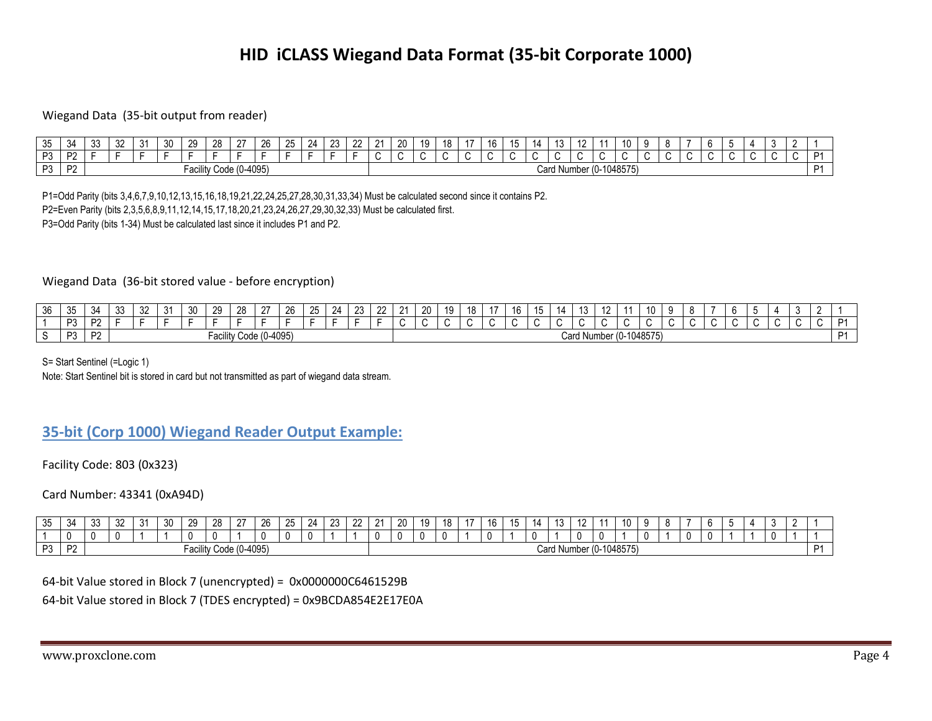# **HID iCLASS Wiegand Data Format (35-bit Corporate 1000)**

### Wiegand Data (35-bit output from reader)

| $\sim$<br>-<br>ັບປ | $\mathbf{z}$<br>ריט | $\sim$<br>ັບບ | $\sim$ | $\sim$<br>ັ | 30 | 29               | $\sim$<br>-40 | $\sim$        | റമ<br>20 | $\sim$<br>$\overline{\phantom{a}}$<br>ںے | . . | $\sim$ | $\sim$<br>-- | $\sim$ | 20  | 19 | $\Delta$ | $\lambda$ – | 16 | <br>$\overline{ }$ |     | $\overline{ }$<br>ιυ | $\sqrt{2}$<br>١Z | $\overline{\phantom{a}}$ | 10         |  |     |     |    | $\cdot$ |     |
|--------------------|---------------------|---------------|--------|-------------|----|------------------|---------------|---------------|----------|------------------------------------------|-----|--------|--------------|--------|-----|----|----------|-------------|----|--------------------|-----|----------------------|------------------|--------------------------|------------|--|-----|-----|----|---------|-----|
| מח                 | no.<br><u>_</u>     |               |        |             |    |                  |               |               |          |                                          |     |        |              |        | . . | ъ. |          |             |    |                    | . . |                      |                  |                          |            |  | . . | . . | л. |         |     |
| כת                 | no.                 |               |        |             |    | -221<br>-acılıty |               | Code (0-4095) |          |                                          |     |        |              |        |     |    |          |             |    |                    |     | Card Num             | nber (0-1        |                          | $-1048575$ |  |     |     |    |         | - 1 |

P1=Odd Parity (bits 3,4,6,7,9,10,12,13,15,16,18,19,21,22,24,25,27,28,30,31,33,34) Must be calculated second since it contains P2. P2=Even Parity (bits 2,3,5,6,8,9,11,12,14,15,17,18,20,21,23,24,26,27,29,30,32,33) Must be calculated first. P3=Odd Parity (bits 1-34) Must be calculated last since it includes P1 and P2.

#### Wiegand Data (36-bit stored value - before encryption)

| $\sim$<br>$\overline{\mathbf{z}}$<br>◡ | $\sim$<br>- - -<br>v | -34<br>⊶ر. | $\sim$<br>ັບປ | $\sim$<br>ັ | 24<br>$\cdot$ | 30 | $\sim$<br>. Ju<br>. | $\sim$<br>ZŌ | $\sim$        | 26 | $\sim$<br>$\overline{\phantom{a}}$<br>∠∪ | 24<br>_ | ററ | $\sim$ | $\mathbf{a}$ | 20<br>∠∪ | 10.<br>$\cdots$ | $\overline{40}$<br>-10 | $\overline{\phantom{a}}$<br>16 |  | $\overline{\phantom{a}}$<br>1 U |      |     | ш         |  |  |         |  |                |
|----------------------------------------|----------------------|------------|---------------|-------------|---------------|----|---------------------|--------------|---------------|----|------------------------------------------|---------|----|--------|--------------|----------|-----------------|------------------------|--------------------------------|--|---------------------------------|------|-----|-----------|--|--|---------|--|----------------|
|                                        | $\mathbf{a}$         | D'         |               |             |               |    |                     |              |               |    |                                          |         |    |        |              |          |                 |                        |                                |  |                                 |      |     |           |  |  | $\cdot$ |  | D.1            |
|                                        | פח                   | ים         |               |             |               |    | -acılıty            |              | Code (0-4095) |    |                                          |         |    |        |              |          |                 |                        |                                |  | Card<br>Num                     | าber | (Q- | -1048575) |  |  |         |  | D <sub>4</sub> |

S= Start Sentinel (=Logic 1)

Note: Start Sentinel bit is stored in card but not transmitted as part of wiegand data stream.

## **35-bit (Corp 1000) Wiegand Reader Output Example:**

Facility Code: 803 (0x323)

Card Number: 43341 (0xA94D)

| $\sim$<br>ิงค<br>ັບປ | $\prec$<br>יש | $\sim$<br>◡ | $\Omega$<br>ےں | 24<br>ັບ I | 30 | 20<br>້ | 28 | $\sim$       | 26 | $\sim$<br>25 | $\Omega$<br>74<br>- | $\sim$ | $\sim$ | <b>O</b> | 20 | 19 | 18 | $\overline{\phantom{a}}$<br>. | าค<br>ر ا | 14 | ιu                      |  | 10 |  |  |  |  |  |
|----------------------|---------------|-------------|----------------|------------|----|---------|----|--------------|----|--------------|---------------------|--------|--------|----------|----|----|----|-------------------------------|-----------|----|-------------------------|--|----|--|--|--|--|--|
|                      |               | 0           |                |            |    |         |    |              | л. |              |                     |        |        |          |    |    |    | $\Omega$                      |           |    |                         |  |    |  |  |  |  |  |
| פח<br>ັບ             | פח<br>. .     |             |                |            |    | acılıtv |    | Code (0-4095 |    |              |                     |        |        |          |    |    |    |                               |           |    | Card Number (0-1048575) |  |    |  |  |  |  |  |

64-bit Value stored in Block 7 (unencrypted) = 0x0000000C6461529B

64-bit Value stored in Block 7 (TDES encrypted) = 0x9BCDA854E2E17E0A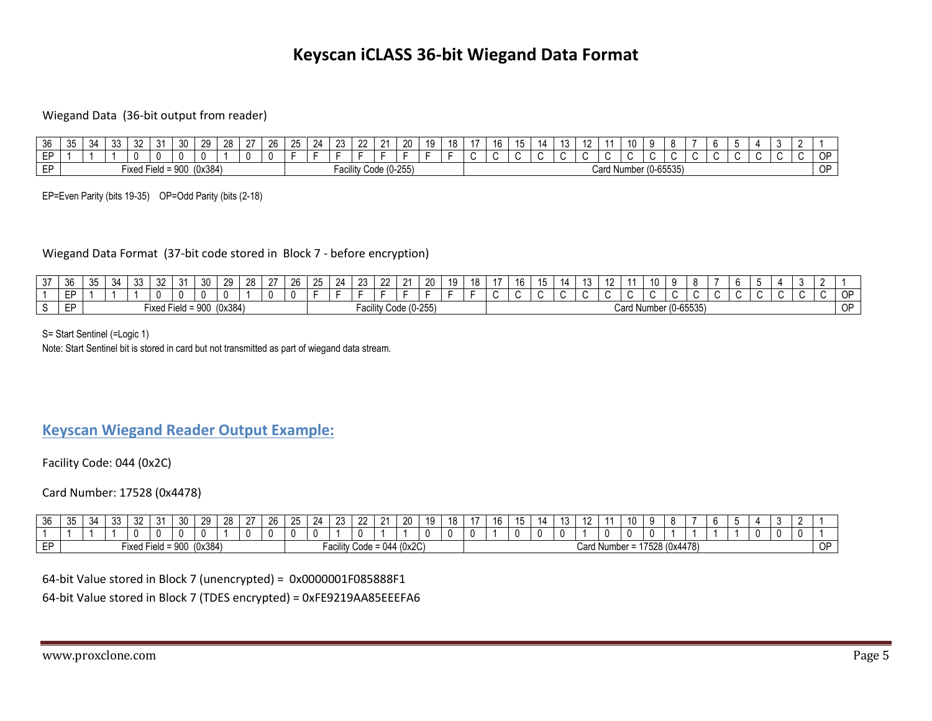# **Keyscan iCLASS 36-bit Wiegand Data Format**

### Wiegand Data (36-bit output from reader)

| າຂ<br>ັບບ | .<br>vu | $\sim$ / $\sim$<br>v- | $\sim$<br>აა | $\sim$<br>٥z       |               | ∩ ?<br>- JV | ററ      | $\sim$<br>∼ | $\sim$ | $\sim$<br>26. | $\sim$<br>25 | $\Omega$<br>-4 | $\sim$<br>້       | ົດດ<br>-- | $\Omega$     | 20 | $\overline{10}$<br>1 U<br>. . | 10<br>IО | $\overline{10}$<br>16 | $\rightarrow$<br>ιυ | . | <br>., | $\sqrt{2}$ |      | $\overline{a}$<br>$\cdot$ | ю |                             |  | . . |  |               |
|-----------|---------|-----------------------|--------------|--------------------|---------------|-------------|---------|-------------|--------|---------------|--------------|----------------|-------------------|-----------|--------------|----|-------------------------------|----------|-----------------------|---------------------|---|--------|------------|------|---------------------------|---|-----------------------------|--|-----|--|---------------|
| $ -$      |         |                       |              |                    |               |             |         |             |        |               |              |                |                   |           |              |    |                               |          |                       |                     |   |        |            | ъ.   |                           |   |                             |  |     |  | $\sim$ $\sim$ |
| ED        |         |                       |              | $- \cdot$<br>Fixed | $Field = 900$ |             | (0x384) |             |        |               |              |                | $-20$<br>-acılıty |           | Code (0-255) |    |                               |          |                       |                     |   |        |            | Card | . Number (0-65535)        |   | $\sim$ $\sim$ $\sim$ $\sim$ |  |     |  | $\sim$ $\sim$ |

EP=Even Parity (bits 19-35) OP=Odd Parity (bits (2-18)

#### Wiegand Data Format (37-bit code stored in Block 7 - before encryption)

| - 27<br>ا ب | $\sim$<br>3h<br>JU | 35                                                         | $\sim$<br>$\sim$ | $\sim$ | $\sim$<br>∠ت | $\mathbf{a}$<br>ັ | - จ∩<br>υu | -29 | 28 | ר ה | $\sim$<br>7'n | $\Omega$<br>- 11 | $\sim$ | $\sim$<br>--  | $\sim$ | 20 | 10 | 18             | $\rightarrow$ | $\overline{ }$<br>16 |  | ιu | $\overline{A}$<br>14 |  |     |  |          |  |     |         |
|-------------|--------------------|------------------------------------------------------------|------------------|--------|--------------|-------------------|------------|-----|----|-----|---------------|------------------|--------|---------------|--------|----|----|----------------|---------------|----------------------|--|----|----------------------|--|-----|--|----------|--|-----|---------|
|             | -                  |                                                            |                  |        |              |                   |            |     |    | ш   |               |                  |        |               |        |    |    |                |               |                      |  |    |                      |  | . . |  | <b>1</b> |  | . . | ∩⊏<br>ັ |
|             | --<br>د ا - '      | (0x384)<br>Facility Code (0-255)<br>I Field = 900<br>Fixed |                  |        |              |                   |            |     |    |     |               | Card Number      |        | $(0 - 65535)$ |        |    |    | <b>OD</b><br>ັ |               |                      |  |    |                      |  |     |  |          |  |     |         |

S= Start Sentinel (=Logic 1)

Note: Start Sentinel bit is stored in card but not transmitted as part of wiegand data stream.

## **Keyscan Wiegand Reader Output Example:**

Facility Code: 044 (0x2C)

Card Number: 17528 (0x4478)

| $\sim$<br>υU | $\sim$<br>◡                                                        | -34 |  | $\sim$<br>◡∠ | $\sim$<br>$\epsilon$<br>ີ | $\epsilon$ | ົ<br>vu | $\sim$ | $\sim$ $\sim$ | 26 | $\sim$<br>25 | $^{\circ}$<br>24 | $\sim$<br>∠∪ | ററ<br>-- | $\mathbf{A}$ | 20 | 10 |                   | $\overline{\phantom{a}}$            | $\overline{\phantom{a}}$ | 14            | $\overline{ }$<br>ں ו | . |  | $\ddot{\phantom{0}}$<br>10. |  |  |  |  |  |
|--------------|--------------------------------------------------------------------|-----|--|--------------|---------------------------|------------|---------|--------|---------------|----|--------------|------------------|--------------|----------|--------------|----|----|-------------------|-------------------------------------|--------------------------|---------------|-----------------------|---|--|-----------------------------|--|--|--|--|--|
|              |                                                                    |     |  |              |                           |            |         |        |               |    |              |                  |              | л.       |              |    |    |                   |                                     |                          |               |                       |   |  |                             |  |  |  |  |  |
| $ -$         | (0x384)<br>044 (0x2C)<br>Field = 900<br>-ixed F<br>-acılıtv Code : |     |  |              |                           |            |         |        |               |    |              |                  |              |          |              |    |    | Card <sup>r</sup> | . Number = $\overline{\phantom{a}}$ |                          | '7528 (0x447১ | 1179                  |   |  | ∩D<br>ີ                     |  |  |  |  |  |

64-bit Value stored in Block 7 (unencrypted) = 0x0000001F085888F1

64-bit Value stored in Block 7 (TDES encrypted) = 0xFE9219AA85EEEFA6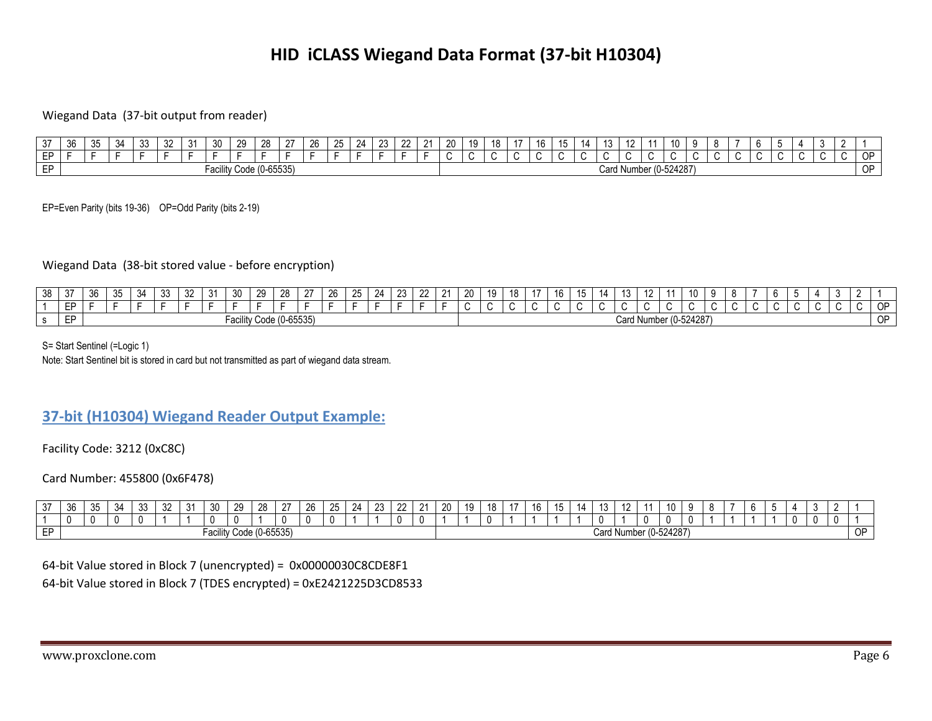# **HID iCLASS Wiegand Data Format (37-bit H10304)**

### Wiegand Data (37-bit output from reader)

| $\sim$ $-$      | $\sim$<br>კხ | vu | 34 | $\sim$<br>ັບປ | ےں | $\sim$<br>311<br>$\cdot$ | ንዐ<br>∼ | 28 | $\sim$                  | 26 | റ⊏<br>- | ົາ<br>,, | nr | $\sim$ | n.<br>, , , | $\overline{10}$<br>ΊU<br>IJ | 18       | $\overline{1}$ | $\overline{ }$<br>ı c | $\overline{\phantom{0}}$ | 14. | $\sqrt{2}$<br>ں ا | $\sqrt{2}$ | 10         |  |  |  |  |           |
|-----------------|--------------|----|----|---------------|----|--------------------------|---------|----|-------------------------|----|---------|----------|----|--------|-------------|-----------------------------|----------|----------------|-----------------------|--------------------------|-----|-------------------|------------|------------|--|--|--|--|-----------|
| <b>CD</b><br>-- |              |    |    |               |    |                          |         |    |                         |    |         |          |    |        |             | . .                         | <b>1</b> | <b>1</b>       |                       |                          |     |                   |            |            |  |  |  |  | 0F        |
| <b>ED</b>       |              |    |    |               |    | Facility Code (0-65535)  |         |    | $\bullet - - \bullet -$ |    |         |          |    |        |             |                             |          |                |                       |                          |     | Card              | Number     | (0.524287) |  |  |  |  | <b>OP</b> |

EP=Even Parity (bits 19-36) OP=Odd Parity (bits 2-19)

## Wiegand Data (38-bit stored value - before encryption)

| 38 | $\sim$ $\sim$<br>ັ | -210<br><u>~</u>                                       | $\sim$<br>ิงค<br>◡◡ | 34 | $\sim$<br>◡៶ | $\sim$<br>ےں | $\cdot$ |  | 29 | 28 | ∩- | ົດຂ<br>۷J | $\sim$<br>՟ | - | $\sim$ | $\sim$ |  | 20 | 10.<br>. J | $\overline{ }$ | $\rightarrow$ | $\sqrt{2}$<br>16       | ιv |    | $\overline{10}$<br>14 | $\overline{A}$ | 10 |  |                     |    |  |        |
|----|--------------------|--------------------------------------------------------|---------------------|----|--------------|--------------|---------|--|----|----|----|-----------|-------------|---|--------|--------|--|----|------------|----------------|---------------|------------------------|----|----|-----------------------|----------------|----|--|---------------------|----|--|--------|
|    | $ -$               |                                                        |                     |    |              |              |         |  |    |    |    |           |             |   |        |        |  |    |            |                |               |                        |    | ι. |                       | $\cdot$        |    |  | . .                 | `` |  | $\sim$ |
|    | <b>ED</b><br>-     | $A$ $A$ $B$ $B$ $B$ $C$ $D$<br>Facility Code (0-65535) |                     |    |              |              |         |  |    |    |    |           |             |   |        |        |  |    |            |                |               | Card Number (0-524287) |    |    |                       |                |    |  | $\cap$<br>- 11<br>◡ |    |  |        |

S= Start Sentinel (=Logic 1)

Note: Start Sentinel bit is stored in card but not transmitted as part of wiegand data stream.

# **37-bit (H10304) Wiegand Reader Output Example:**

Facility Code: 3212 (0xC8C)

Card Number: 455800 (0x6F478)

| $\sim$<br>31 | $\sim$<br>ิงห | $\sim$ $\sim$<br>-<br>ບບ | -271 | $\sim$<br>◡ | $\sim$<br>٥z | $\sim$<br>ົບ | ົດດ<br>οU         | $\sim$              | 28 | $\sim$                   | 26 | $\sim$ | $\Omega$<br>∕ ⊥ | $\sim$ | $\sim$ | $\mathbf{a}$ | ററ<br>∼ | 10.<br>. | 18 | 16 | $\overline{A}$<br><b>TE</b><br>1 J | 14. | $\sqrt{2}$<br>ں ا | $\overline{10}$<br>. . | 10 |  |  |  |  |           |
|--------------|---------------|--------------------------|------|-------------|--------------|--------------|-------------------|---------------------|----|--------------------------|----|--------|-----------------|--------|--------|--------------|---------|----------|----|----|------------------------------------|-----|-------------------|------------------------|----|--|--|--|--|-----------|
|              |               |                          |      |             |              |              |                   |                     |    |                          |    |        |                 |        |        |              |         |          |    |    |                                    |     |                   |                        | -0 |  |  |  |  |           |
| FЕ<br>. .    |               |                          |      |             |              |              | یایہ م<br>aullill | .001<br><b>COUT</b> |    | $\bigcap$<br>, (U-65535) |    |        |                 |        |        |              |         |          |    |    |                                    |     | ∪ard              | J Number (0-524287     |    |  |  |  |  | <b>OP</b> |

#### 64-bit Value stored in Block 7 (unencrypted) = 0x00000030C8CDE8F1

64-bit Value stored in Block 7 (TDES encrypted) = 0xE2421225D3CD8533